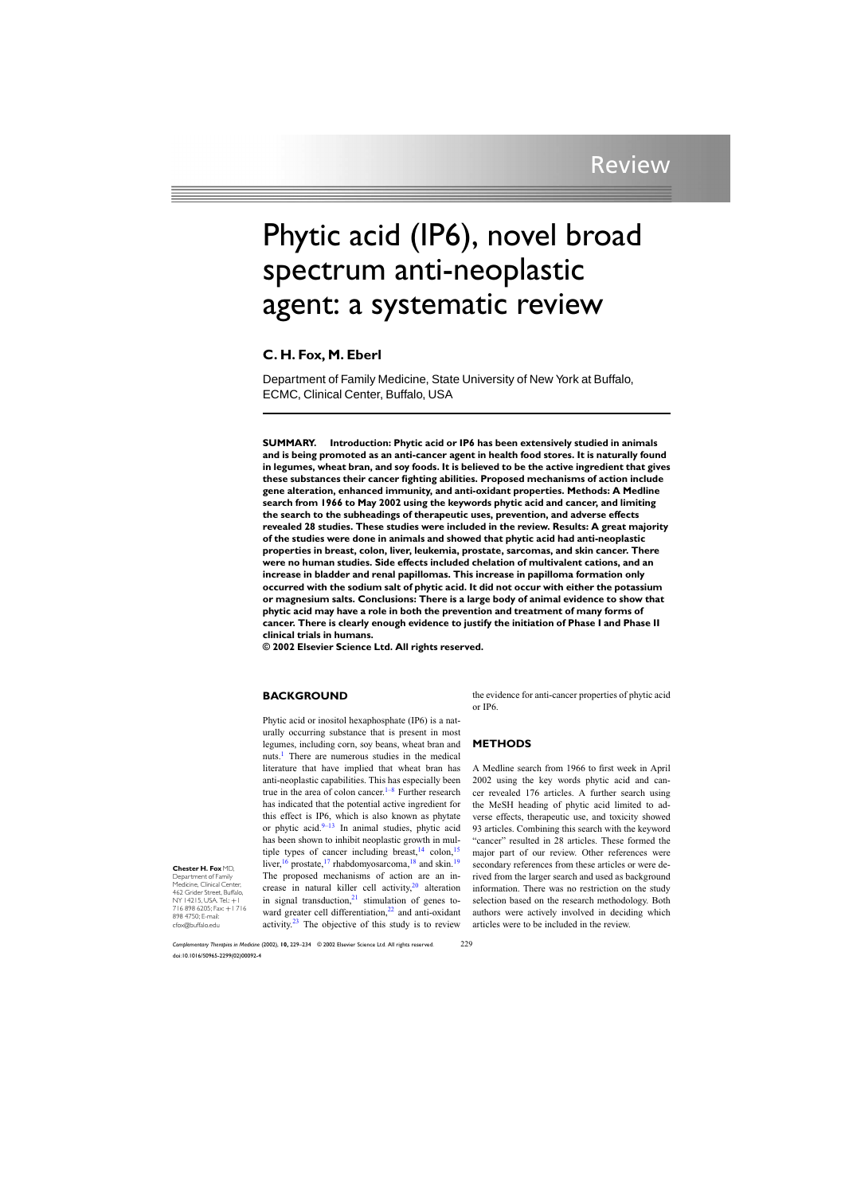# Phytic acid (IP6), novel broad spectrum anti-neoplastic agent: a systematic review

## **C. H. Fox, M. Eberl**

Department of Family Medicine, State University of New York at Buffalo, ECMC, Clinical Center, Buffalo, USA

**SUMMARY. Introduction: Phytic acid or IP6has been extensively studied in animals and is being promoted as an anti-cancer agent in health food stores. It is naturally found in legumes, wheat bran, and soy foods. It is believed to be the active ingredient that gives these substances their cancer fighting abilities. Proposed mechanisms of action include gene alteration, enhanced immunity, and anti-oxidant properties. Methods: A Medline search from 1966 to May 2002 using the keywords phytic acid and cancer, and limiting the search to the subheadings of therapeutic uses, prevention, and adverse effects revealed 28 studies. These studies were included in the review. Results: A great majority of the studies were done in animals and showed that phytic acid had anti-neoplastic properties in breast, colon, liver, leukemia, prostate, sarcomas, and skin cancer. There were no human studies. Side effects included chelation of multivalent cations, and an increase in bladder and renal papillomas. This increase in papilloma formation only occurred with the sodium salt of phytic acid. It did not occur with either the potassium or magnesium salts. Conclusions: There is a large body of animal evidence to show that phytic acid may have a role in both the prevention and treatment of many forms of cancer. There is clearly enough evidence to justify the initiation of Phase I and Phase II clinical trials in humans.**

**© 2002 Elsevier Science Ltd. All rights reserved.**

## **BACKGROUND**

Phytic acid or inositol hexaphosphate (IP6) is a naturally occurring substance that is present in most legumes, including corn, soy beans, wheat bran and nuts.<sup>[1](#page-4-0)</sup> There are numerous studies in the medical literature that have implied that wheat bran has anti-neoplastic capabilities. This has especially been true in the area of colon cancer. $1-8$  Further research has indicated that the potential active ingredient for this effect is IP6, which is also known as phytate or phytic acid. $9-13$  In animal studies, phytic acid has been shown to inhibit neoplastic growth in multiple types of cancer including breast,  $14 \text{ colon}$  $14 \text{ colon}$ ,  $15$ liver,  $\frac{16}{19}$  $\frac{16}{19}$  $\frac{16}{19}$  $\frac{16}{19}$  $\frac{16}{19}$  prostate,  $\frac{17}{17}$  $\frac{17}{17}$  $\frac{17}{17}$  rhabdomyosarcoma,  $\frac{18}{18}$  $\frac{18}{18}$  $\frac{18}{18}$  and skin.<sup>19</sup> The proposed mechanisms of action are an increase in natural killer cell activity, $20$  alteration in signal transduction, $21$  stimulation of genes to-ward greater cell differentiation,<sup>[22](#page-4-0)</sup> and anti-oxidant activity. $23$  The objective of this study is to review the evidence for anti-cancer properties of phytic acid or IP6.

## **METHODS**

A Medline search from 1966 to first week in April 2002 using the key words phytic acid and cancer revealed 176 articles. A further search using the MeSH heading of phytic acid limited to adverse effects, therapeutic use, and toxicity showed 93 articles. Combining this search with the keyword "cancer" resulted in 28 articles. These formed the major part of our review. Other references were secondary references from these articles or were derived from the larger search and used as background information. There was no restriction on the study selection based on the research methodology. Both authors were actively involved in deciding which articles were to be included in the review.

**Chester H. Fox** MD, Department of Family

Medicine, Clinical Center, 462 Grider Street, Buffalo, NY 14215, USA. Tel.: +1 716 898 6205; Fax: +1 716 898 4750; E-mail: cfox@buffalo.edu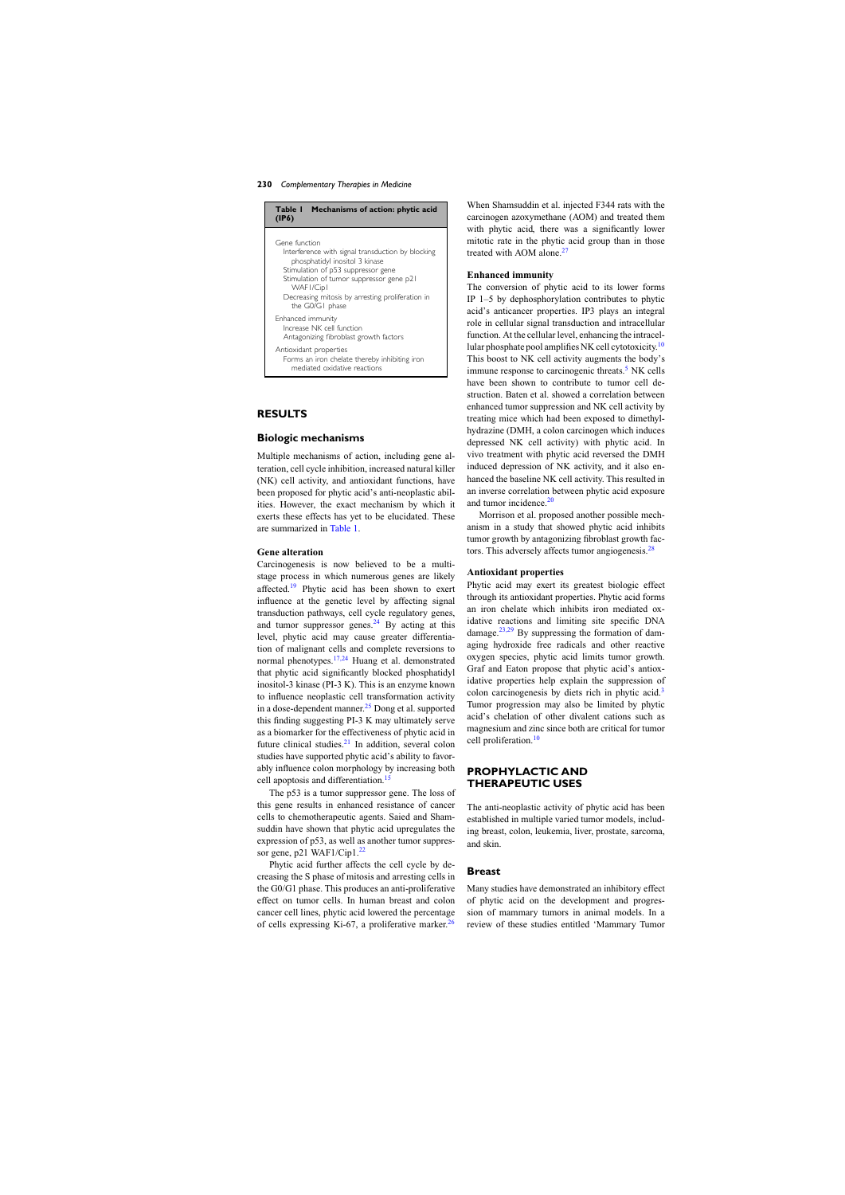#### **230** *Complementary Therapies in Medicine*

| Table I Mechanisms of action: phytic acid<br>(IP6)                                                                                                                                                                                                                         |
|----------------------------------------------------------------------------------------------------------------------------------------------------------------------------------------------------------------------------------------------------------------------------|
| Gene function<br>Interference with signal transduction by blocking<br>phosphatidyl inositol 3 kinase<br>Stimulation of p53 suppressor gene<br>Stimulation of tumor suppressor gene p21<br>WAFI/Cip1<br>Decreasing mitosis by arresting proliferation in<br>the G0/G1 phase |
| Enhanced immunity<br>Increase NK cell function<br>Antagonizing fibroblast growth factors                                                                                                                                                                                   |
| Antioxidant properties<br>Forms an iron chelate thereby inhibiting iron<br>mediated oxidative reactions                                                                                                                                                                    |

#### **RESULTS**

#### **Biologic mechanisms**

Multiple mechanisms of action, including gene alteration, cell cycle inhibition, increased natural killer (NK) cell activity, and antioxidant functions, have been proposed for phytic acid's anti-neoplastic abilities. However, the exact mechanism by which it exerts these effects has yet to be elucidated. These are summarized in Table 1.

#### **Gene alteration**

Carcinogenesis is now believed to be a multistage process in which numerous genes are likely affected.<sup>[19](#page-4-0)</sup> Phytic acid has been shown to exert influence at the genetic level by affecting signal transduction pathways, cell cycle regulatory genes, and tumor suppressor genes. $^{24}$  $^{24}$  $^{24}$  By acting at this level, phytic acid may cause greater differentiation of malignant cells and complete reversions to normal phenotypes.<sup>[17,24](#page-4-0)</sup> Huang et al. demonstrated that phytic acid significantly blocked phosphatidyl inositol-3 kinase (PI-3 K). This is an enzyme known to influence neoplastic cell transformation activity in a dose-dependent manner. $^{25}$  $^{25}$  $^{25}$  Dong et al. supported this finding suggesting PI-3 K may ultimately serve as a biomarker for the effectiveness of phytic acid in future clinical studies. $21$  In addition, several colon studies have supported phytic acid's ability to favorably influence colon morphology by increasing both cell apoptosis and differentiation.<sup>1</sup>

The p53 is a tumor suppressor gene. The loss of this gene results in enhanced resistance of cancer cells to chemotherapeutic agents. Saied and Shamsuddin have shown that phytic acid upregulates the expression of p53, as well as another tumor suppressor gene, p21 WAF1/Cip1. $^{22}$  $^{22}$  $^{22}$ 

Phytic acid further affects the cell cycle by decreasing the S phase of mitosis and arresting cells in the G0/G1 phase. This produces an anti-proliferative effect on tumor cells. In human breast and colon cancer cell lines, phytic acid lowered the percentage of cells expressing Ki-67, a proliferative marker.<sup>[26](#page-4-0)</sup>

When Shamsuddin et al. injected F344 rats with the carcinogen azoxymethane (AOM) and treated them with phytic acid, there was a significantly lower mitotic rate in the phytic acid group than in those treated with AOM alone.<sup>[27](#page-5-0)</sup>

#### **Enhanced immunity**

The conversion of phytic acid to its lower forms IP 1–5 by dephosphorylation contributes to phytic acid's anticancer properties. IP3 plays an integral role in cellular signal transduction and intracellular function. At the cellular level, enhancing the intracel-lular phosphate pool amplifies NK cell cytotoxicity.<sup>[10](#page-4-0)</sup> This boost to NK cell activity augments the body's immune response to carcinogenic threats.<sup>[5](#page-4-0)</sup> NK cells have been shown to contribute to tumor cell destruction. Baten et al. showed a correlation between enhanced tumor suppression and NK cell activity by treating mice which had been exposed to dimethylhydrazine (DMH, a colon carcinogen which induces depressed NK cell activity) with phytic acid. In vivo treatment with phytic acid reversed the DMH induced depression of NK activity, and it also enhanced the baseline NK cell activity. This resulted in an inverse correlation between phytic acid exposure and tumor incidence.<sup>[20](#page-4-0)</sup>

Morrison et al. proposed another possible mechanism in a study that showed phytic acid inhibits tumor growth by antagonizing fibroblast growth fac-tors. This adversely affects tumor angiogenesis.<sup>[28](#page-5-0)</sup>

#### **Antioxidant properties**

Phytic acid may exert its greatest biologic effect through its antioxidant properties. Phytic acid forms an iron chelate which inhibits iron mediated oxidative reactions and limiting site specific DNA damage.<sup>[23,29](#page-4-0)</sup> By suppressing the formation of damaging hydroxide free radicals and other reactive oxygen species, phytic acid limits tumor growth. Graf and Eaton propose that phytic acid's antioxidative properties help explain the suppression of colon carcinogenesis by diets rich in phytic acid.[3](#page-4-0) Tumor progression may also be limited by phytic acid's chelation of other divalent cations such as magnesium and zinc since both are critical for tumor cell proliferation.[10](#page-4-0)

## **PROPHYLACTIC AND THERAPEUTIC USES**

The anti-neoplastic activity of phytic acid has been established in multiple varied tumor models, including breast, colon, leukemia, liver, prostate, sarcoma, and skin.

#### **Breast**

Many studies have demonstrated an inhibitory effect of phytic acid on the development and progression of mammary tumors in animal models. In a review of these studies entitled 'Mammary Tumor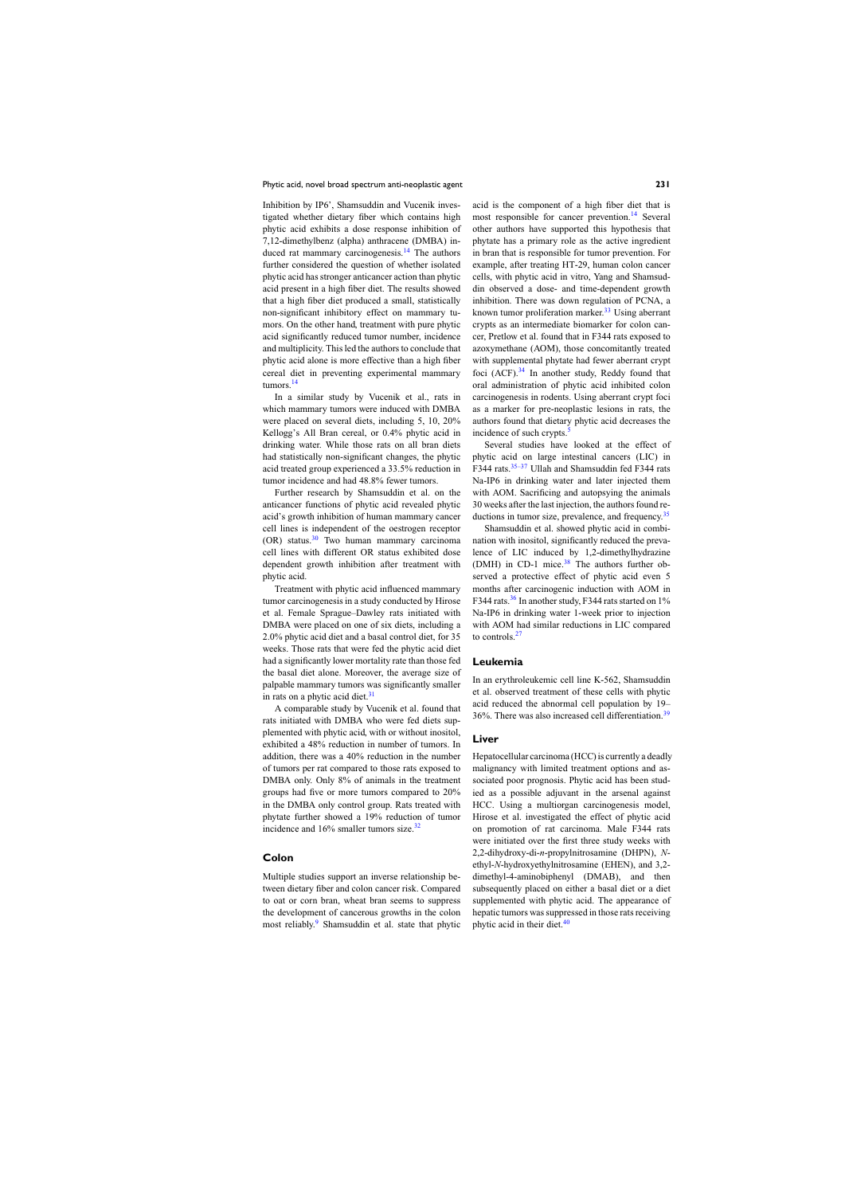Inhibition by IP6', Shamsuddin and Vucenik investigated whether dietary fiber which contains high phytic acid exhibits a dose response inhibition of 7,12-dimethylbenz (alpha) anthracene (DMBA) in-duced rat mammary carcinogenesis.<sup>[14](#page-4-0)</sup> The authors further considered the question of whether isolated phytic acid has stronger anticancer action than phytic acid present in a high fiber diet. The results showed that a high fiber diet produced a small, statistically non-significant inhibitory effect on mammary tumors. On the other hand, treatment with pure phytic acid significantly reduced tumor number, incidence and multiplicity. This led the authors to conclude that phytic acid alone is more effective than a high fiber cereal diet in preventing experimental mammary tumors.<sup>[14](#page-4-0)</sup>

In a similar study by Vucenik et al., rats in which mammary tumors were induced with DMBA were placed on several diets, including 5, 10, 20% Kellogg's All Bran cereal, or 0.4% phytic acid in drinking water. While those rats on all bran diets had statistically non-significant changes, the phytic acid treated group experienced a 33.5% reduction in tumor incidence and had 48.8% fewer tumors.

Further research by Shamsuddin et al. on the anticancer functions of phytic acid revealed phytic acid's growth inhibition of human mammary cancer cell lines is independent of the oestrogen receptor  $(OR)$  status.<sup>[30](#page-5-0)</sup> Two human mammary carcinoma cell lines with different OR status exhibited dose dependent growth inhibition after treatment with phytic acid.

Treatment with phytic acid influenced mammary tumor carcinogenesis in a study conducted by Hirose et al. Female Sprague–Dawley rats initiated with DMBA were placed on one of six diets, including a 2.0% phytic acid diet and a basal control diet, for 35 weeks. Those rats that were fed the phytic acid diet had a significantly lower mortality rate than those fed the basal diet alone. Moreover, the average size of palpable mammary tumors was significantly smaller in rats on a phytic acid diet. $31$ 

A comparable study by Vucenik et al. found that rats initiated with DMBA who were fed diets supplemented with phytic acid, with or without inositol, exhibited a 48% reduction in number of tumors. In addition, there was a 40% reduction in the number of tumors per rat compared to those rats exposed to DMBA only. Only 8% of animals in the treatment groups had five or more tumors compared to 20% in the DMBA only control group. Rats treated with phytate further showed a 19% reduction of tumor incidence and 16% smaller tumors size.<sup>[32](#page-5-0)</sup>

#### **Colon**

Multiple studies support an inverse relationship between dietary fiber and colon cancer risk. Compared to oat or corn bran, wheat bran seems to suppress the development of cancerous growths in the colon most reliably.<sup>[9](#page-4-0)</sup> Shamsuddin et al. state that phytic acid is the component of a high fiber diet that is most responsible for cancer prevention.<sup>[14](#page-4-0)</sup> Several other authors have supported this hypothesis that phytate has a primary role as the active ingredient in bran that is responsible for tumor prevention. For example, after treating HT-29, human colon cancer cells, with phytic acid in vitro, Yang and Shamsuddin observed a dose- and time-dependent growth inhibition. There was down regulation of PCNA, a known tumor proliferation marker.<sup>[33](#page-5-0)</sup> Using aberrant crypts as an intermediate biomarker for colon cancer, Pretlow et al. found that in F344 rats exposed to azoxymethane (AOM), those concomitantly treated with supplemental phytate had fewer aberrant crypt foci  $(ACF).<sup>34</sup>$  $(ACF).<sup>34</sup>$  $(ACF).<sup>34</sup>$  In another study, Reddy found that oral administration of phytic acid inhibited colon carcinogenesis in rodents. Using aberrant crypt foci as a marker for pre-neoplastic lesions in rats, the authors found that dietary phytic acid decreases the incidence of such crypts. $\frac{5}{3}$  $\frac{5}{3}$  $\frac{5}{3}$ 

Several studies have looked at the effect of phytic acid on large intestinal cancers (LIC) in F344 rats.<sup>35-37</sup> Ullah and Shamsuddin fed F344 rats Na-IP6 in drinking water and later injected them with AOM. Sacrificing and autopsying the animals 30 weeks after the last injection, the authors found re-ductions in tumor size, prevalence, and frequency.<sup>[35](#page-5-0)</sup>

Shamsuddin et al. showed phytic acid in combination with inositol, significantly reduced the prevalence of LIC induced by 1,2-dimethylhydrazine (DMH) in CD-1 mice. $38$  The authors further observed a protective effect of phytic acid even 5 months after carcinogenic induction with AOM in F344 rats.<sup>[36](#page-5-0)</sup> In another study, F344 rats started on 1% Na-IP6 in drinking water 1-week prior to injection with AOM had similar reductions in LIC compared to controls.<sup>[27](#page-5-0)</sup>

#### **Leukemia**

In an erythroleukemic cell line K-562, Shamsuddin et al. observed treatment of these cells with phytic acid reduced the abnormal cell population by 19– 36%. There was also increased cell differentiation.[39](#page-5-0)

#### **Liver**

Hepatocellular carcinoma (HCC) is currently a deadly malignancy with limited treatment options and associated poor prognosis. Phytic acid has been studied as a possible adjuvant in the arsenal against HCC. Using a multiorgan carcinogenesis model, Hirose et al. investigated the effect of phytic acid on promotion of rat carcinoma. Male F344 rats were initiated over the first three study weeks with 2,2-dihydroxy-di-*n*-propylnitrosamine (DHPN), *N*ethyl-*N*-hydroxyethylnitrosamine (EHEN), and 3,2 dimethyl-4-aminobiphenyl (DMAB), and then subsequently placed on either a basal diet or a diet supplemented with phytic acid. The appearance of hepatic tumors was suppressed in those rats receiving phytic acid in their diet.<sup>[40](#page-5-0)</sup>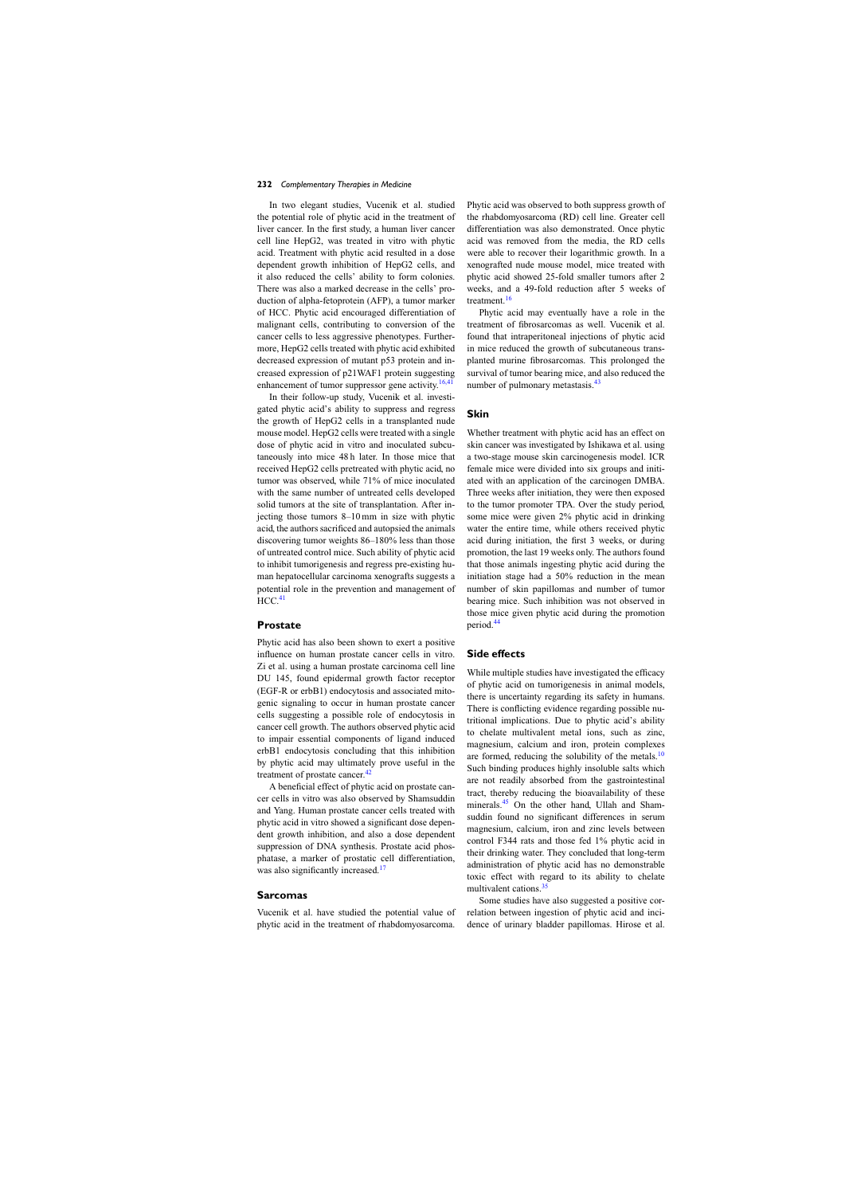In two elegant studies, Vucenik et al. studied the potential role of phytic acid in the treatment of liver cancer. In the first study, a human liver cancer cell line HepG2, was treated in vitro with phytic acid. Treatment with phytic acid resulted in a dose dependent growth inhibition of HepG2 cells, and it also reduced the cells' ability to form colonies. There was also a marked decrease in the cells' production of alpha-fetoprotein (AFP), a tumor marker of HCC. Phytic acid encouraged differentiation of malignant cells, contributing to conversion of the cancer cells to less aggressive phenotypes. Furthermore, HepG2 cells treated with phytic acid exhibited decreased expression of mutant p53 protein and increased expression of p21WAF1 protein suggesting enhancement of tumor suppressor gene activity.<sup>[16,41](#page-4-0)</sup>

In their follow-up study, Vucenik et al. investigated phytic acid's ability to suppress and regress the growth of HepG2 cells in a transplanted nude mouse model. HepG2 cells were treated with a single dose of phytic acid in vitro and inoculated subcutaneously into mice 48 h later. In those mice that received HepG2 cells pretreated with phytic acid, no tumor was observed, while 71% of mice inoculated with the same number of untreated cells developed solid tumors at the site of transplantation. After injecting those tumors 8–10 mm in size with phytic acid, the authors sacrificed and autopsied the animals discovering tumor weights 86–180% less than those of untreated control mice. Such ability of phytic acid to inhibit tumorigenesis and regress pre-existing human hepatocellular carcinoma xenografts suggests a potential role in the prevention and management of  $HCC.<sup>41</sup>$  $HCC.<sup>41</sup>$  $HCC.<sup>41</sup>$ 

#### **Prostate**

Phytic acid has also been shown to exert a positive influence on human prostate cancer cells in vitro. Zi et al. using a human prostate carcinoma cell line DU 145, found epidermal growth factor receptor (EGF-R or erbB1) endocytosis and associated mitogenic signaling to occur in human prostate cancer cells suggesting a possible role of endocytosis in cancer cell growth. The authors observed phytic acid to impair essential components of ligand induced erbB1 endocytosis concluding that this inhibition by phytic acid may ultimately prove useful in the treatment of prostate cancer.<sup>[42](#page-5-0)</sup>

A beneficial effect of phytic acid on prostate cancer cells in vitro was also observed by Shamsuddin and Yang. Human prostate cancer cells treated with phytic acid in vitro showed a significant dose dependent growth inhibition, and also a dose dependent suppression of DNA synthesis. Prostate acid phosphatase, a marker of prostatic cell differentiation, was also significantly increased.<sup>[17](#page-4-0)</sup>

## **Sarcomas**

Vucenik et al. have studied the potential value of phytic acid in the treatment of rhabdomyosarcoma.

Phytic acid was observed to both suppress growth of the rhabdomyosarcoma (RD) cell line. Greater cell differentiation was also demonstrated. Once phytic acid was removed from the media, the RD cells were able to recover their logarithmic growth. In a xenografted nude mouse model, mice treated with phytic acid showed 25-fold smaller tumors after 2 weeks, and a 49-fold reduction after 5 weeks of treatment.<sup>[16](#page-4-0)</sup>

Phytic acid may eventually have a role in the treatment of fibrosarcomas as well. Vucenik et al. found that intraperitoneal injections of phytic acid in mice reduced the growth of subcutaneous transplanted murine fibrosarcomas. This prolonged the survival of tumor bearing mice, and also reduced the number of pulmonary metastasis.<sup>[43](#page-5-0)</sup>

### **Skin**

Whether treatment with phytic acid has an effect on skin cancer was investigated by Ishikawa et al. using a two-stage mouse skin carcinogenesis model. ICR female mice were divided into six groups and initiated with an application of the carcinogen DMBA. Three weeks after initiation, they were then exposed to the tumor promoter TPA. Over the study period, some mice were given 2% phytic acid in drinking water the entire time, while others received phytic acid during initiation, the first 3 weeks, or during promotion, the last 19 weeks only. The authors found that those animals ingesting phytic acid during the initiation stage had a 50% reduction in the mean number of skin papillomas and number of tumor bearing mice. Such inhibition was not observed in those mice given phytic acid during the promotion period.[44](#page-5-0)

#### **Side effects**

While multiple studies have investigated the efficacy of phytic acid on tumorigenesis in animal models, there is uncertainty regarding its safety in humans. There is conflicting evidence regarding possible nutritional implications. Due to phytic acid's ability to chelate multivalent metal ions, such as zinc, magnesium, calcium and iron, protein complexes are formed, reducing the solubility of the metals. $10$ Such binding produces highly insoluble salts which are not readily absorbed from the gastrointestinal tract, thereby reducing the bioavailability of these minerals.<sup>[45](#page-5-0)</sup> On the other hand, Ullah and Shamsuddin found no significant differences in serum magnesium, calcium, iron and zinc levels between control F344 rats and those fed 1% phytic acid in their drinking water. They concluded that long-term administration of phytic acid has no demonstrable toxic effect with regard to its ability to chelate multivalent cations.[35](#page-5-0)

Some studies have also suggested a positive correlation between ingestion of phytic acid and incidence of urinary bladder papillomas. Hirose et al.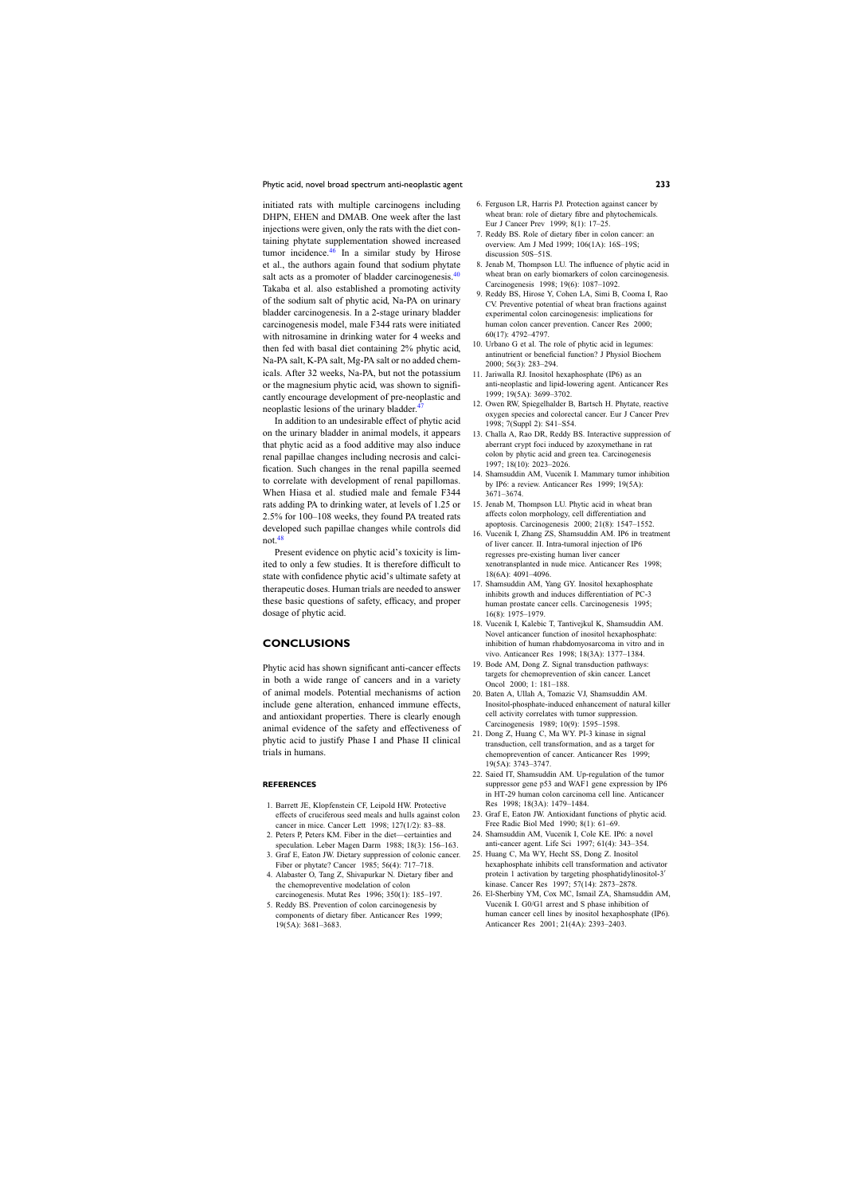<span id="page-4-0"></span>initiated rats with multiple carcinogens including DHPN, EHEN and DMAB. One week after the last injections were given, only the rats with the diet containing phytate supplementation showed increased tumor incidence.[46](#page-5-0) In a similar study by Hirose et al., the authors again found that sodium phytate salt acts as a promoter of bladder carcinogenesis. $40$ Takaba et al. also established a promoting activity of the sodium salt of phytic acid, Na-PA on urinary bladder carcinogenesis. In a 2-stage urinary bladder carcinogenesis model, male F344 rats were initiated with nitrosamine in drinking water for 4 weeks and then fed with basal diet containing 2% phytic acid, Na-PA salt, K-PA salt, Mg-PA salt or no added chemicals. After 32 weeks, Na-PA, but not the potassium or the magnesium phytic acid, was shown to significantly encourage development of pre-neoplastic and neoplastic lesions of the urinary bladder. $47$ 

In addition to an undesirable effect of phytic acid on the urinary bladder in animal models, it appears that phytic acid as a food additive may also induce renal papillae changes including necrosis and calcification. Such changes in the renal papilla seemed to correlate with development of renal papillomas. When Hiasa et al. studied male and female F344 rats adding PA to drinking water, at levels of 1.25 or 2.5% for 100–108 weeks, they found PA treated rats developed such papillae changes while controls did not.[48](#page-5-0)

Present evidence on phytic acid's toxicity is limited to only a few studies. It is therefore difficult to state with confidence phytic acid's ultimate safety at therapeutic doses. Human trials are needed to answer these basic questions of safety, efficacy, and proper dosage of phytic acid.

## **CONCLUSIONS**

Phytic acid has shown significant anti-cancer effects in both a wide range of cancers and in a variety of animal models. Potential mechanisms of action include gene alteration, enhanced immune effects, and antioxidant properties. There is clearly enough animal evidence of the safety and effectiveness of phytic acid to justify Phase I and Phase II clinical trials in humans.

#### **REFERENCES**

- 1. Barrett JE, Klopfenstein CF, Leipold HW. Protective effects of cruciferous seed meals and hulls against colon cancer in mice. Cancer Lett 1998; 127(1/2): 83–88.
- 2. Peters P, Peters KM. Fiber in the diet—certainties and speculation. Leber Magen Darm 1988; 18(3): 156–163.
- 3. Graf E, Eaton JW. Dietary suppression of colonic cancer. Fiber or phytate? Cancer 1985; 56(4): 717–718.
- 4. Alabaster O, Tang Z, Shivapurkar N. Dietary fiber and the chemopreventive modelation of colon carcinogenesis. Mutat Res 1996; 350(1): 185–197.
- 5. Reddy BS. Prevention of colon carcinogenesis by components of dietary fiber. Anticancer Res 1999; 19(5A): 3681–3683.
- 6. Ferguson LR, Harris PJ. Protection against cancer by wheat bran: role of dietary fibre and phytochemicals. Eur J Cancer Prev 1999; 8(1): 17–25.
- 7. Reddy BS. Role of dietary fiber in colon cancer: an overview. Am J Med 1999; 106(1A): 16S–19S; discussion 50S–51S.
- 8. Jenab M, Thompson LU. The influence of phytic acid in wheat bran on early biomarkers of colon carcinogenesis. Carcinogenesis 1998; 19(6): 1087–1092.
- 9. Reddy BS, Hirose Y, Cohen LA, Simi B, Cooma I, Rao CV. Preventive potential of wheat bran fractions against experimental colon carcinogenesis: implications for human colon cancer prevention. Cancer Res 2000; 60(17): 4792–4797.
- 10. Urbano G et al. The role of phytic acid in legumes: antinutrient or beneficial function? J Physiol Biochem 2000; 56(3): 283–294.
- 11. Jariwalla RJ. Inositol hexaphosphate (IP6) as an anti-neoplastic and lipid-lowering agent. Anticancer Res 1999; 19(5A): 3699–3702.
- 12. Owen RW, Spiegelhalder B, Bartsch H. Phytate, reactive oxygen species and colorectal cancer. Eur J Cancer Prev 1998; 7(Suppl 2): S41–S54.
- 13. Challa A, Rao DR, Reddy BS. Interactive suppression of aberrant crypt foci induced by azoxymethane in rat colon by phytic acid and green tea. Carcinogenesis 1997; 18(10): 2023–2026.
- 14. Shamsuddin AM, Vucenik I. Mammary tumor inhibition by IP6: a review. Anticancer Res 1999; 19(5A): 3671–3674.
- 15. Jenab M, Thompson LU. Phytic acid in wheat bran affects colon morphology, cell differentiation and apoptosis. Carcinogenesis 2000; 21(8): 1547–1552.
- 16. Vucenik I, Zhang ZS, Shamsuddin AM. IP6 in treatment of liver cancer. II. Intra-tumoral injection of IP6 regresses pre-existing human liver cancer xenotransplanted in nude mice. Anticancer Res 1998; 18(6A): 4091–4096.
- 17. Shamsuddin AM, Yang GY. Inositol hexaphosphate inhibits growth and induces differentiation of PC-3 human prostate cancer cells. Carcinogenesis 1995; 16(8): 1975–1979.
- 18. Vucenik I, Kalebic T, Tantivejkul K, Shamsuddin AM. Novel anticancer function of inositol hexaphosphate: inhibition of human rhabdomyosarcoma in vitro and in vivo. Anticancer Res 1998; 18(3A): 1377–1384.
- 19. Bode AM, Dong Z. Signal transduction pathways: targets for chemoprevention of skin cancer. Lancet Oncol 2000; 1: 181–188.
- 20. Baten A, Ullah A, Tomazic VJ, Shamsuddin AM. Inositol-phosphate-induced enhancement of natural killer cell activity correlates with tumor suppression. Carcinogenesis 1989; 10(9): 1595–1598.
- 21. Dong Z, Huang C, Ma WY. PI-3 kinase in signal transduction, cell transformation, and as a target for chemoprevention of cancer. Anticancer Res 1999; 19(5A): 3743–3747.
- 22. Saied IT, Shamsuddin AM. Up-regulation of the tumor suppressor gene p53 and WAF1 gene expression by IP6 in HT-29 human colon carcinoma cell line. Anticancer Res 1998; 18(3A): 1479–1484.
- 23. Graf E, Eaton JW. Antioxidant functions of phytic acid. Free Radic Biol Med 1990; 8(1): 61–69.
- 24. Shamsuddin AM, Vucenik I, Cole KE. IP6: a novel anti-cancer agent. Life Sci 1997; 61(4): 343–354.
- 25. Huang C, Ma WY, Hecht SS, Dong Z. Inositol hexaphosphate inhibits cell transformation and activator protein 1 activation by targeting phosphatidylinositol-3 kinase. Cancer Res 1997; 57(14): 2873–2878.
- 26. El-Sherbiny YM, Cox MC, Ismail ZA, Shamsuddin AM, Vucenik I. G0/G1 arrest and S phase inhibition of human cancer cell lines by inositol hexaphosphate (IP6). Anticancer Res 2001; 21(4A): 2393–2403.